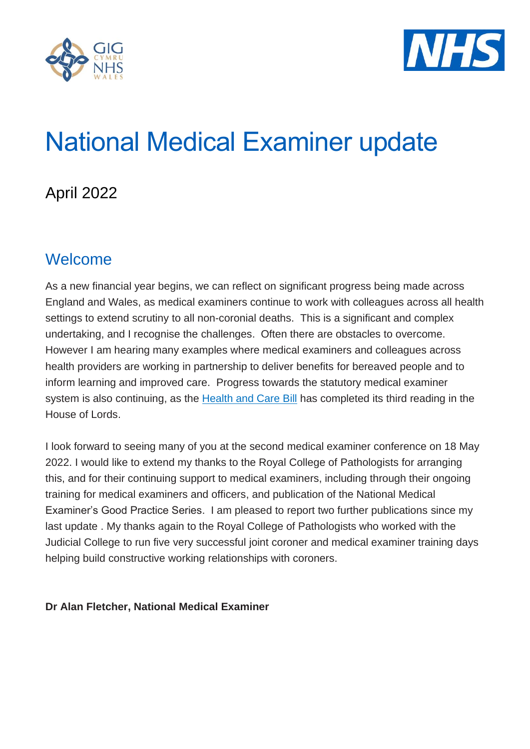



# National Medical Examiner update

## April 2022

## Welcome

As a new financial year begins, we can reflect on significant progress being made across England and Wales, as medical examiners continue to work with colleagues across all health settings to extend scrutiny to all non-coronial deaths. This is a significant and complex undertaking, and I recognise the challenges. Often there are obstacles to overcome. However I am hearing many examples where medical examiners and colleagues across health providers are working in partnership to deliver benefits for bereaved people and to inform learning and improved care. Progress towards the statutory medical examiner system is also continuing, as the [Health and Care Bill](https://bills.parliament.uk/bills/3022) has completed its third reading in the House of Lords.

I look forward to seeing many of you at the second medical examiner conference on 18 May 2022. I would like to extend my thanks to the Royal College of Pathologists for arranging this, and for their continuing support to medical examiners, including through their ongoing training for medical examiners and officers, and publication of the National Medical Examiner's Good Practice Series. I am pleased to report two further publications since my last update . My thanks again to the Royal College of Pathologists who worked with the Judicial College to run five very successful joint coroner and medical examiner training days helping build constructive working relationships with coroners.

#### **Dr Alan Fletcher, National Medical Examiner**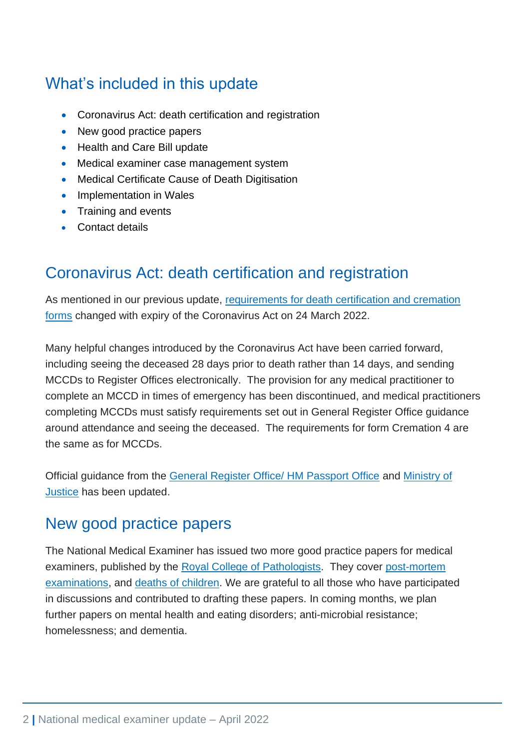# What's included in this update

- Coronavirus Act: death certification and registration
- New good practice papers
- Health and Care Bill update
- Medical examiner case management system
- Medical Certificate Cause of Death Digitisation
- Implementation in Wales
- Training and events
- Contact details

#### Coronavirus Act: death certification and registration

As mentioned in our previous update, [requirements for death certification and cremation](https://www.england.nhs.uk/coronavirus/publication/guidance-for-medical-practitioners-on-coronavirus-act-excess-death-provisions/)  [forms](https://www.england.nhs.uk/coronavirus/publication/guidance-for-medical-practitioners-on-coronavirus-act-excess-death-provisions/) changed with expiry of the Coronavirus Act on 24 March 2022.

Many helpful changes introduced by the Coronavirus Act have been carried forward, including seeing the deceased 28 days prior to death rather than 14 days, and sending MCCDs to Register Offices electronically. The provision for any medical practitioner to complete an MCCD in times of emergency has been discontinued, and medical practitioners completing MCCDs must satisfy requirements set out in General Register Office guidance around attendance and seeing the deceased. The requirements for form Cremation 4 are the same as for MCCDs.

Official guidance from the [General Register Office/ HM Passport Office](https://www.gov.uk/government/publications/guidance-notes-for-completing-a-medical-certificate-of-cause-of-death) and [Ministry of](https://www.gov.uk/government/publications/medical-practitioners-guidance-on-completing-cremation-forms)  [Justice](https://www.gov.uk/government/publications/medical-practitioners-guidance-on-completing-cremation-forms) has been updated.

#### New good practice papers

The National Medical Examiner has issued two more good practice papers for medical examiners, published by the [Royal College of Pathologists.](https://www.rcpath.org/profession/medical-examiners/good-practice-series.html) They cover post-mortem [examinations,](https://www.rcpath.org/resourceLibrary/good-practice-series-post-mortem-examinations.html) and [deaths of children.](https://www.rcpath.org/resourceLibrary/good-practice-series---child-deaths.html) We are grateful to all those who have participated in discussions and contributed to drafting these papers. In coming months, we plan further papers on mental health and eating disorders; anti-microbial resistance; homelessness; and dementia.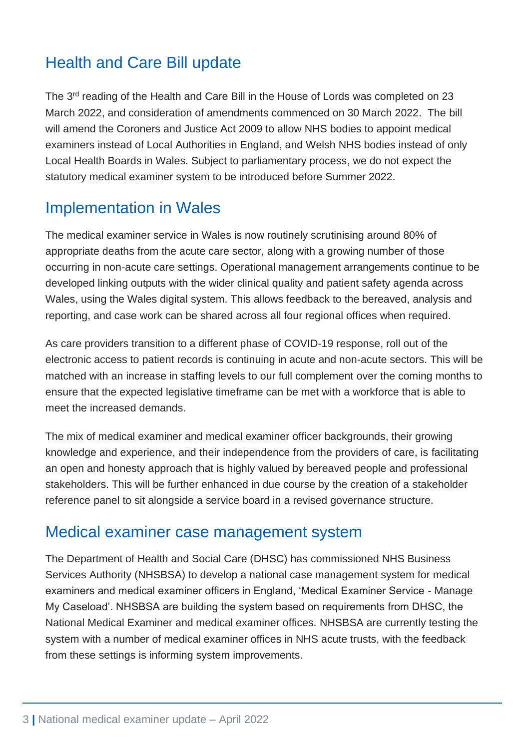# Health and Care Bill update

The 3<sup>rd</sup> reading of the Health and Care Bill in the House of Lords was completed on 23 March 2022, and consideration of amendments commenced on 30 March 2022. The bill will amend the Coroners and Justice Act 2009 to allow NHS bodies to appoint medical examiners instead of Local Authorities in England, and Welsh NHS bodies instead of only Local Health Boards in Wales. Subject to parliamentary process, we do not expect the statutory medical examiner system to be introduced before Summer 2022.

## Implementation in Wales

The medical examiner service in Wales is now routinely scrutinising around 80% of appropriate deaths from the acute care sector, along with a growing number of those occurring in non-acute care settings. Operational management arrangements continue to be developed linking outputs with the wider clinical quality and patient safety agenda across Wales, using the Wales digital system. This allows feedback to the bereaved, analysis and reporting, and case work can be shared across all four regional offices when required.

As care providers transition to a different phase of COVID-19 response, roll out of the electronic access to patient records is continuing in acute and non-acute sectors. This will be matched with an increase in staffing levels to our full complement over the coming months to ensure that the expected legislative timeframe can be met with a workforce that is able to meet the increased demands.

The mix of medical examiner and medical examiner officer backgrounds, their growing knowledge and experience, and their independence from the providers of care, is facilitating an open and honesty approach that is highly valued by bereaved people and professional stakeholders. This will be further enhanced in due course by the creation of a stakeholder reference panel to sit alongside a service board in a revised governance structure.

#### Medical examiner case management system

The Department of Health and Social Care (DHSC) has commissioned NHS Business Services Authority (NHSBSA) to develop a national case management system for medical examiners and medical examiner officers in England, 'Medical Examiner Service - Manage My Caseload'. NHSBSA are building the system based on requirements from DHSC, the National Medical Examiner and medical examiner offices. NHSBSA are currently testing the system with a number of medical examiner offices in NHS acute trusts, with the feedback from these settings is informing system improvements.